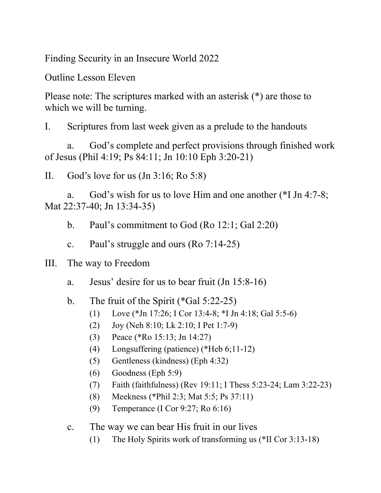Finding Security in an Insecure World 2022

Outline Lesson Eleven

Please note: The scriptures marked with an asterisk (\*) are those to which we will be turning.

I. Scriptures from last week given as a prelude to the handouts

a. God's complete and perfect provisions through finished work of Jesus (Phil 4:19; Ps 84:11; Jn 10:10 Eph 3:20-21)

II. God's love for us (Jn 3:16; Ro 5:8)

a. God's wish for us to love Him and one another (\*I Jn 4:7-8; Mat 22:37-40; Jn 13:34-35)

b. Paul's commitment to God (Ro 12:1; Gal 2:20)

c. Paul's struggle and ours (Ro 7:14-25)

III. The way to Freedom

- a. Jesus' desire for us to bear fruit (Jn 15:8-16)
- b. The fruit of the Spirit (\*Gal 5:22-25)
	- (1) Love (\*Jn 17:26; I Cor 13:4-8; \*I Jn 4:18; Gal 5:5-6)
	- (2) Joy (Neh 8:10; Lk 2:10; I Pet 1:7-9)
	- (3) Peace (\*Ro 15:13; Jn 14:27)
	- (4) Longsuffering (patience) (\*Heb 6;11-12)
	- (5) Gentleness (kindness) (Eph 4:32)
	- (6) Goodness (Eph 5:9)
	- (7) Faith (faithfulness) (Rev 19:11; I Thess 5:23-24; Lam 3:22-23)
	- (8) Meekness (\*Phil 2:3; Mat 5:5; Ps 37:11)
	- (9) Temperance (I Cor 9:27; Ro 6:16)
- c. The way we can bear His fruit in our lives
	- (1) The Holy Spirits work of transforming us (\*II Cor 3:13-18)